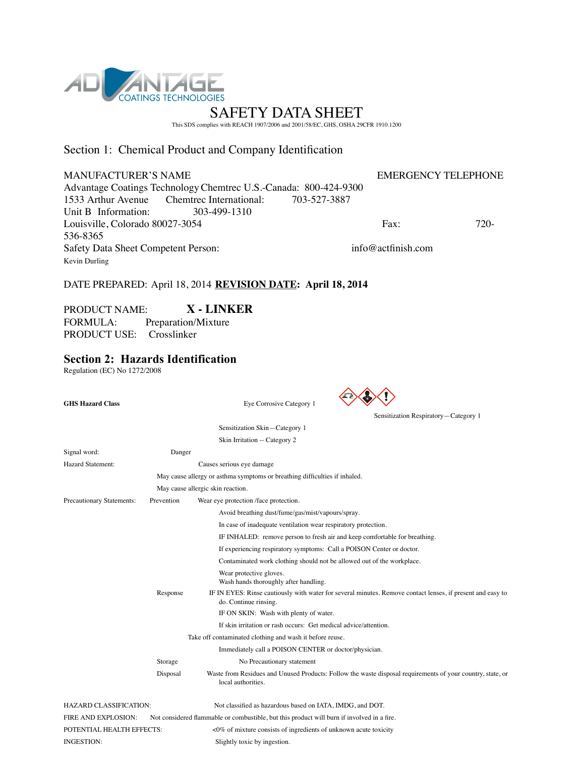

This SDS complies with REACH 1907/2006 and 2001/58/EC, GHS, OSHA 29CFR 1910.1200

## Section 1: Chemical Product and Company Identification

### MANUFACTURER'S NAME EMERGENCY TELEPHONE

Advantage Coatings Technology Chemtrec U.S.-Canada: 800-424-9300<br>1533 Arthur Avenue Chemtrec International: 703-527-3887 Chemtrec International:<br>303-499-1310 Unit B Information: Louisville, Colorado 80027-3054 Fax: 720-536-8365 Safety Data Sheet Competent Person: info@actfinish.com Kevin Durling

# DATE PREPARED: April 18, 2014 **REVISION DATE: April 18, 2014**

# PRODUCT NAME: **X - LINKER**

FORMULA: Preparation/Mixture PRODUCT USE: Crosslinker

# **Section 2: Hazards Identification**

Regulation (EC) No 1272/2008

| <b>GHS Hazard Class</b>       |            | Eye Corrosive Category 1                                                                                                            |
|-------------------------------|------------|-------------------------------------------------------------------------------------------------------------------------------------|
|                               |            | Sensitization Respiratory-Category 1                                                                                                |
|                               |            | Sensitization Skin-Category 1                                                                                                       |
|                               |            | Skin Irritation -- Category 2                                                                                                       |
| Signal word:                  | Danger     |                                                                                                                                     |
| <b>Hazard Statement:</b>      |            | Causes serious eye damage                                                                                                           |
|                               |            | May cause allergy or asthma symptoms or breathing difficulties if inhaled.                                                          |
|                               |            | May cause allergic skin reaction.                                                                                                   |
| Precautionary Statements:     | Prevention | Wear eye protection /face protection.                                                                                               |
|                               |            | Avoid breathing dust/fume/gas/mist/vapours/spray.                                                                                   |
|                               |            | In case of inadequate ventilation wear respiratory protection.                                                                      |
|                               |            | IF INHALED: remove person to fresh air and keep comfortable for breathing.                                                          |
|                               |            | If experiencing respiratory symptoms: Call a POISON Center or doctor.                                                               |
|                               |            | Contaminated work clothing should not be allowed out of the workplace.                                                              |
|                               |            | Wear protective gloves.<br>Wash hands thoroughly after handling.                                                                    |
|                               | Response   | IF IN EYES: Rinse cautiously with water for several minutes. Remove contact lenses, if present and easy to<br>do. Continue rinsing. |
|                               |            | IF ON SKIN: Wash with plenty of water.                                                                                              |
|                               |            | If skin irritation or rash occurs: Get medical advice/attention.                                                                    |
|                               |            | Take off contaminated clothing and wash it before reuse.                                                                            |
|                               |            | Immediately call a POISON CENTER or doctor/physician.                                                                               |
|                               | Storage    | No Precautionary statement                                                                                                          |
|                               | Disposal   | Waste from Residues and Unused Products: Follow the waste disposal requirements of your country, state, or<br>local authorities.    |
| <b>HAZARD CLASSIFICATION:</b> |            | Not classified as hazardous based on IATA, IMDG, and DOT.                                                                           |
| <b>FIRE AND EXPLOSION:</b>    |            | Not considered flammable or combustible, but this product will burn if involved in a fire.                                          |
| POTENTIAL HEALTH EFFECTS:     |            | $\leq$ 0% of mixture consists of ingredients of unknown acute toxicity                                                              |
| INGESTION:                    |            | Slightly toxic by ingestion.                                                                                                        |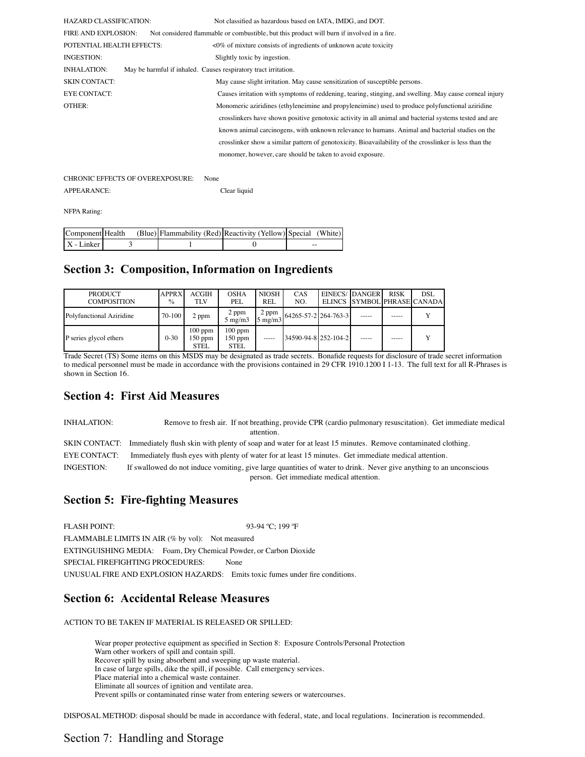| <b>HAZARD CLASSIFICATION:</b> |                                                                 | Not classified as hazardous based on IATA, IMDG, and DOT.                                               |
|-------------------------------|-----------------------------------------------------------------|---------------------------------------------------------------------------------------------------------|
| <b>FIRE AND EXPLOSION:</b>    |                                                                 | Not considered flammable or combustible, but this product will burn if involved in a fire.              |
| POTENTIAL HEALTH EFFECTS:     |                                                                 | $\langle 0\%$ of mixture consists of ingredients of unknown acute toxicity                              |
| INGESTION:                    |                                                                 | Slightly toxic by ingestion.                                                                            |
| INHALATION:                   | May be harmful if inhaled. Causes respiratory tract irritation. |                                                                                                         |
| <b>SKIN CONTACT:</b>          |                                                                 | May cause slight irritation. May cause sensitization of susceptible persons.                            |
| <b>EYE CONTACT:</b>           |                                                                 | Causes irritation with symptoms of reddening, tearing, stinging, and swelling. May cause corneal injury |
| OTHER:                        |                                                                 | Monomeric aziridines (ethyleneimine and propyleneimine) used to produce polyfunctional aziridine        |
|                               |                                                                 | crosslinkers have shown positive genotoxic activity in all animal and bacterial systems tested and are  |
|                               |                                                                 | known animal carcinogens, with unknown relevance to humans. Animal and bacterial studies on the         |
|                               |                                                                 | crosslinker show a similar pattern of genotoxicity. Bioavailability of the crosslinker is less than the |
|                               |                                                                 | monomer, however, care should be taken to avoid exposure.                                               |
|                               |                                                                 |                                                                                                         |

CHRONIC EFFECTS OF OVEREXPOSURE: None APPEARANCE: Clear liquid

NFPA Rating:

| Component Health | (Blue) Flammability (Red) Reactivity (Yellow) Special (White) |    |
|------------------|---------------------------------------------------------------|----|
| $X$ - Linker     |                                                               | -- |

## **Section 3: Composition, Information on Ingredients**

| <b>PRODUCT</b><br><b>COMPOSITION</b> | <b>APPRX</b><br>$\frac{0}{0}$ | ACGIH<br>TLV                   | <b>OSHA</b><br>PEL                    | <b>NIOSH</b><br>REL       | CAS<br>NO.           | EINECS/IDANGERI<br>ELINCS SYMBOL PHRASE CANADA | <b>RISK</b> | DSL |
|--------------------------------------|-------------------------------|--------------------------------|---------------------------------------|---------------------------|----------------------|------------------------------------------------|-------------|-----|
| Polyfunctional Aziridine             | 70-100                        | 2 ppm                          | 2 ppm<br>$5 \text{ mg/m}$             | 2 ppm<br>$5 \text{ mg/m}$ | 64265-57-2 264-763-3 |                                                |             | v   |
| P series glycol ethers               | $0 - 30$                      | $100$ ppm<br>$150$ ppm<br>STEL | $100$ ppm<br>$150$ ppm<br><b>STEL</b> | $- - - - -$               | 34590-94-8 252-104-2 |                                                | -----       | v   |

Trade Secret (TS) Some items on this MSDS may be designated as trade secrets. Bonafide requests for disclosure of trade secret information to medical personnel must be made in accordance with the provisions contained in 29 CFR 1910.1200 I 1-13. The full text for all R-Phrases is shown in Section 16.

# **Section 4: First Aid Measures**

INHALATION: Remove to fresh air. If not breathing, provide CPR (cardio pulmonary resuscitation). Get immediate medical attention. SKIN CONTACT: Immediately flush skin with plenty of soap and water for at least 15 minutes. Remove contaminated clothing. EYE CONTACT: Immediately flush eyes with plenty of water for at least 15 minutes. Get immediate medical attention.

INGESTION: If swallowed do not induce vomiting, give large quantities of water to drink. Never give anything to an unconscious person. Get immediate medical attention.

# **Section 5: Fire-fighting Measures**

FLASH POINT: 93-94 °C; 199 °F FLAMMABLE LIMITS IN AIR (% by vol): Not measured EXTINGUISHING MEDIA: Foam, Dry Chemical Powder, or Carbon Dioxide SPECIAL FIREFIGHTING PROCEDURES: None UNUSUAL FIRE AND EXPLOSION HAZARDS: Emits toxic fumes under fire conditions.

# **Section 6: Accidental Release Measures**

ACTION TO BE TAKEN IF MATERIAL IS RELEASED OR SPILLED:

Wear proper protective equipment as specified in Section 8: Exposure Controls/Personal Protection Warn other workers of spill and contain spill. Recover spill by using absorbent and sweeping up waste material. In case of large spills, dike the spill, if possible. Call emergency services. Place material into a chemical waste container. Eliminate all sources of ignition and ventilate area. Prevent spills or contaminated rinse water from entering sewers or watercourses.

DISPOSAL METHOD: disposal should be made in accordance with federal, state, and local regulations. Incineration is recommended.

# Section 7: Handling and Storage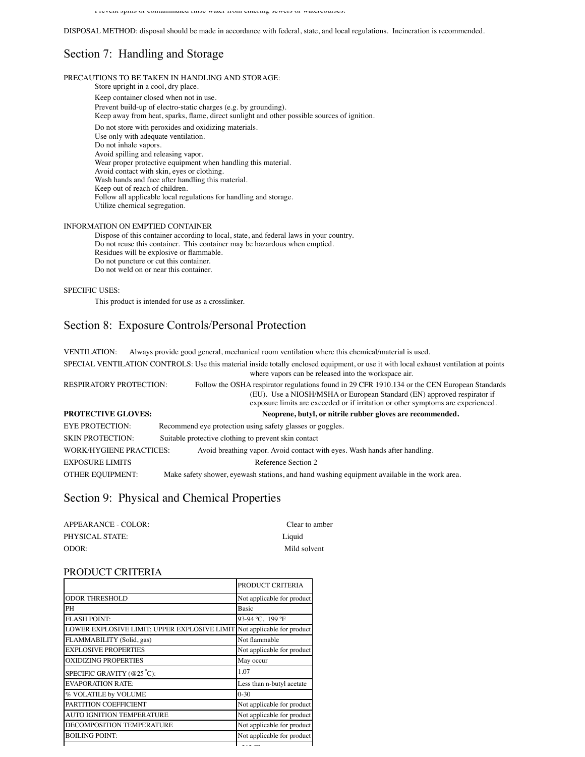Prevent spills or contaminated rinse water from entering sewers or watercourses.

DISPOSAL METHOD: disposal should be made in accordance with federal, state, and local regulations. Incineration is recommended.

# Section 7: Handling and Storage

PRECAUTIONS TO BE TAKEN IN HANDLING AND STORAGE:

Store upright in a cool, dry place. Keep container closed when not in use. Prevent build-up of electro-static charges (e.g. by grounding). Keep away from heat, sparks, flame, direct sunlight and other possible sources of ignition. Do not store with peroxides and oxidizing materials. Use only with adequate ventilation. Do not inhale vapors. Avoid spilling and releasing vapor. Wear proper protective equipment when handling this material. Avoid contact with skin, eyes or clothing. Wash hands and face after handling this material. Keep out of reach of children. Follow all applicable local regulations for handling and storage. Utilize chemical segregation.

#### INFORMATION ON EMPTIED CONTAINER

Dispose of this container according to local, state, and federal laws in your country. Do not reuse this container. This container may be hazardous when emptied. Residues will be explosive or flammable. Do not puncture or cut this container. Do not weld on or near this container.

### SPECIFIC USES:

This product is intended for use as a crosslinker.

### Section 8: Exposure Controls/Personal Protection

VENTILATION: Always provide good general, mechanical room ventilation where this chemical/material is used. SPECIAL VENTILATION CONTROLS: Use this material inside totally enclosed equipment, or use it with local exhaust ventilation at points where vapors can be released into the workspace air. RESPIRATORY PROTECTION: Follow the OSHA respirator regulations found in 29 CFR 1910.134 or the CEN European Standards (EU). Use a NIOSH/MSHA or European Standard (EN) approved respirator if exposure limits are exceeded or if irritation or other symptoms are experienced. **PROTECTIVE GLOVES: Neoprene, butyl, or nitrile rubber gloves are recommended.** EYE PROTECTION: Recommend eye protection using safety glasses or goggles. SKIN PROTECTION: Suitable protective clothing to prevent skin contact WORK/HYGIENE PRACTICES: Avoid breathing vapor. Avoid contact with eyes. Wash hands after handling. EXPOSURE LIMITS Reference Section 2 OTHER EQUIPMENT: Make safety shower, eyewash stations, and hand washing equipment available in the work area.

### Section 9: Physical and Chemical Properties

| APPEARANCE - COLOR: | Clear to amber |
|---------------------|----------------|
| PHYSICAL STATE:     | Liquid         |
| ODOR:               | Mild solvent   |

### PRODUCT CRITERIA

|                                                                         | PRODUCT CRITERIA           |
|-------------------------------------------------------------------------|----------------------------|
| <b>ODOR THRESHOLD</b>                                                   | Not applicable for product |
| PН                                                                      | Basic                      |
| <b>FLASH POINT:</b>                                                     | 93-94 °C, 199 °F           |
| LOWER EXPLOSIVE LIMIT; UPPER EXPLOSIVE LIMIT Not applicable for product |                            |
| FLAMMABILITY (Solid, gas)                                               | Not flammable              |
| <b>EXPLOSIVE PROPERTIES</b>                                             | Not applicable for product |
| <b>OXIDIZING PROPERTIES</b>                                             | May occur                  |
| SPECIFIC GRAVITY ( $@25^{\circ}$ C):                                    | 1.07                       |
| <b>EVAPORATION RATE:</b>                                                | Less than n-butyl acetate  |
| % VOLATILE by VOLUME                                                    | $0 - 30$                   |
| PARTITION COEFFICIENT                                                   | Not applicable for product |
| AUTO IGNITION TEMPERATURE                                               | Not applicable for product |
| DECOMPOSITION TEMPERATURE                                               | Not applicable for product |
| <b>BOILING POINT:</b>                                                   | Not applicable for product |
|                                                                         |                            |

MELTING POINT: >212 ºF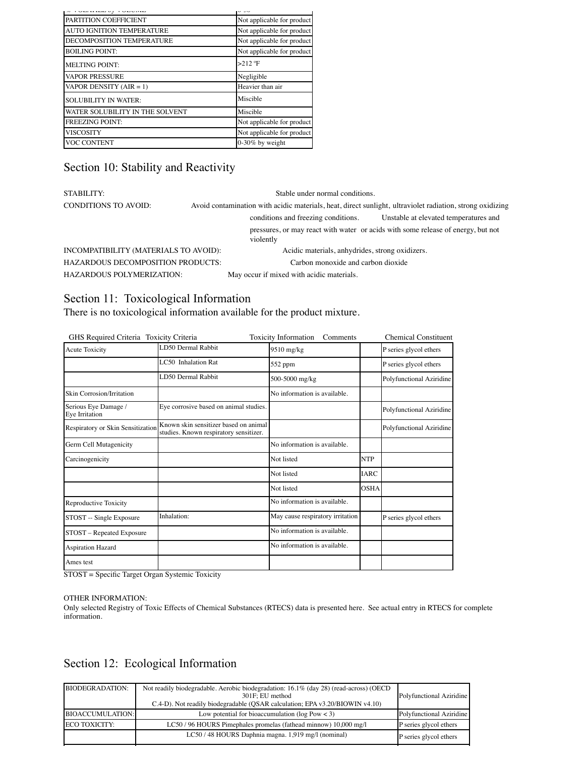| Not applicable for product |  |
|----------------------------|--|
| Not applicable for product |  |
| Not applicable for product |  |
| Not applicable for product |  |
| $>212$ °F                  |  |
| Negligible                 |  |
| Heavier than air           |  |
| Miscible                   |  |
| Miscible                   |  |
| Not applicable for product |  |
| Not applicable for product |  |
| $0-30\%$ by weight         |  |
|                            |  |

# Section 10: Stability and Reactivity

| STABILITY:                               | Stable under normal conditions.                                                                           |                                                 |                                                                                  |
|------------------------------------------|-----------------------------------------------------------------------------------------------------------|-------------------------------------------------|----------------------------------------------------------------------------------|
| <b>CONDITIONS TO AVOID:</b>              | Avoid contamination with acidic materials, heat, direct sunlight, ultraviolet radiation, strong oxidizing |                                                 |                                                                                  |
|                                          |                                                                                                           | conditions and freezing conditions.             | Unstable at elevated temperatures and                                            |
|                                          |                                                                                                           | violently                                       | pressures, or may react with water or acids with some release of energy, but not |
| INCOMPATIBILITY (MATERIALS TO AVOID):    |                                                                                                           | Acidic materials, anhydrides, strong oxidizers. |                                                                                  |
| <b>HAZARDOUS DECOMPOSITION PRODUCTS:</b> |                                                                                                           | Carbon monoxide and carbon dioxide              |                                                                                  |
| <b>HAZARDOUS POLYMERIZATION:</b>         |                                                                                                           | May occur if mixed with acidic materials.       |                                                                                  |

# Section 11: Toxicological Information

There is no toxicological information available for the product mixture.

| GHS Required Criteria Toxicity Criteria |                                                                                 | <b>Toxicity Information</b><br>Comments |             | <b>Chemical Constituent</b> |
|-----------------------------------------|---------------------------------------------------------------------------------|-----------------------------------------|-------------|-----------------------------|
| <b>Acute Toxicity</b>                   | LD50 Dermal Rabbit                                                              | 9510 mg/kg                              |             | P series glycol ethers      |
|                                         | LC50 Inhalation Rat                                                             | 552 ppm                                 |             | P series glycol ethers      |
|                                         | LD50 Dermal Rabbit                                                              | 500-5000 mg/kg                          |             | Polyfunctional Aziridine    |
| Skin Corrosion/Irritation               |                                                                                 | No information is available.            |             |                             |
| Serious Eye Damage /<br>Eye Irritation  | Eye corrosive based on animal studies.                                          |                                         |             | Polyfunctional Aziridine    |
| Respiratory or Skin Sensitization       | Known skin sensitizer based on animal<br>studies. Known respiratory sensitizer. |                                         |             | Polyfunctional Aziridine    |
| Germ Cell Mutagenicity                  |                                                                                 | No information is available.            |             |                             |
| Carcinogenicity                         |                                                                                 | Not listed                              | <b>NTP</b>  |                             |
|                                         |                                                                                 | Not listed                              | <b>IARC</b> |                             |
|                                         |                                                                                 | Not listed                              | <b>OSHA</b> |                             |
| Reproductive Toxicity                   |                                                                                 | No information is available.            |             |                             |
| STOST -- Single Exposure                | Inhalation:                                                                     | May cause respiratory irritation        |             | P series glycol ethers      |
| STOST - Repeated Exposure               |                                                                                 | No information is available.            |             |                             |
| <b>Aspiration Hazard</b>                |                                                                                 | No information is available.            |             |                             |
| Ames test                               |                                                                                 |                                         |             |                             |
|                                         |                                                                                 |                                         |             |                             |

STOST = Specific Target Organ Systemic Toxicity

### OTHER INFORMATION:

Only selected Registry of Toxic Effects of Chemical Substances (RTECS) data is presented here. See actual entry in RTECS for complete information.

# Section 12: Ecological Information

| <b>BIODEGRADATION:</b>  | Not readily biodegradable. Aerobic biodegradation: 16.1% (day 28) (read-across) (OECD<br>301F: EU method<br>C.4-D). Not readily biodegradable (QSAR calculation; EPA v3.20/BIOWIN v4.10) | Polyfunctional Aziridine |
|-------------------------|------------------------------------------------------------------------------------------------------------------------------------------------------------------------------------------|--------------------------|
| <b>BIOACCUMULATION:</b> | Low potential for bioaccumulation ( $log Pow < 3$ )                                                                                                                                      | Polyfunctional Aziridine |
| ECO TOXICITY:           | LC50 / 96 HOURS Pimephales promelas (fathead minnow) 10,000 mg/l                                                                                                                         | P series glycol ethers   |
|                         | LC50 / 48 HOURS Daphnia magna. 1,919 mg/l (nominal)                                                                                                                                      | P series glycol ethers   |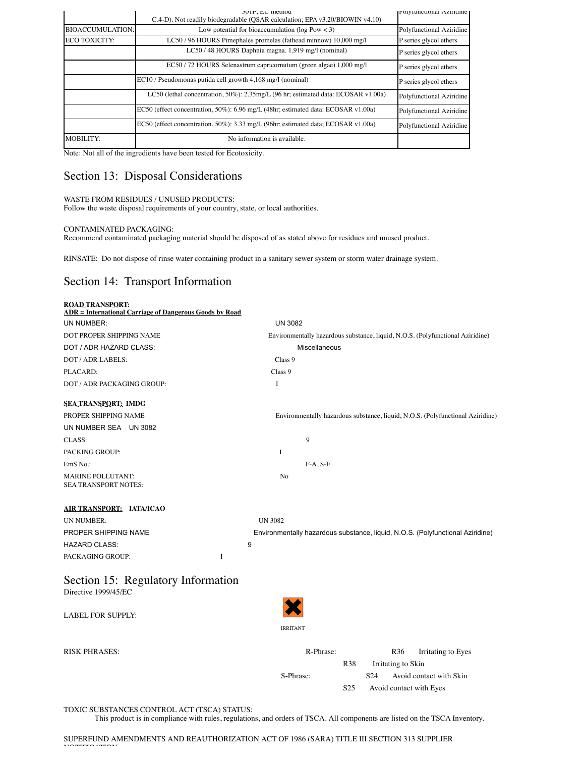|                         | JUIF; EU Illeulou<br>C.4-D). Not readily biodegradable (OSAR calculation; EPA v3.20/BIOWIN v4.10) | POIVIUIICHOHAI AZIHUIIIC |
|-------------------------|---------------------------------------------------------------------------------------------------|--------------------------|
| <b>BIOACCUMULATION:</b> | Low potential for bioaccumulation ( $log Pow < 3$ )                                               | Polyfunctional Aziridine |
| <b>ECO TOXICITY:</b>    | LC50 / 96 HOURS Pimephales promelas (fathead minnow) 10,000 mg/l                                  | P series glycol ethers   |
|                         | LC50 / 48 HOURS Daphnia magna. 1,919 mg/l (nominal)                                               | P series glycol ethers   |
|                         | EC50 / 72 HOURS Selenastrum capricornutum (green algae) 1,000 mg/l                                | P series glycol ethers   |
|                         | EC10 / Pseudomonas putida cell growth 4,168 mg/l (nominal)                                        | P series glycol ethers   |
|                         | LC50 (lethal concentration, 50%): 2.35mg/L (96 hr; estimated data: ECOSAR v1.00a)                 | Polyfunctional Aziridine |
|                         | EC50 (effect concentration, 50%): 6.96 mg/L (48hr; estimated data: ECOSAR v1.00a)                 | Polyfunctional Aziridine |
|                         | EC50 (effect concentration, 50%): 3.33 mg/L (96hr; estimated data; ECOSAR v1.00a)                 | Polyfunctional Aziridine |
| <b>MOBILITY:</b>        | No information is available.                                                                      |                          |

Note: Not all of the ingredients have been tested for Ecotoxicity.

# Section 13: Disposal Considerations

### WASTE FROM RESIDUES / UNUSED PRODUCTS:

Follow the waste disposal requirements of your country, state, or local authorities.

### CONTAMINATED PACKAGING:

Recommend contaminated packaging material should be disposed of as stated above for residues and unused product.

RINSATE: Do not dispose of rinse water containing product in a sanitary sewer system or storm water drainage system.

## Section 14: Transport Information

| <b>ROAD TRANSPORT:</b><br><b>ADR</b> = International Carriage of Dangerous Goods by Road |                                                                                |
|------------------------------------------------------------------------------------------|--------------------------------------------------------------------------------|
| UN NUMBER:                                                                               | <b>UN 3082</b>                                                                 |
| DOT PROPER SHIPPING NAME                                                                 | Environmentally hazardous substance, liquid, N.O.S. (Polyfunctional Aziridine) |
| DOT / ADR HAZARD CLASS:                                                                  | Miscellaneous                                                                  |
| DOT / ADR LABELS:                                                                        | Class 9                                                                        |
| PLACARD:                                                                                 | Class 9                                                                        |
| DOT / ADR PACKAGING GROUP:                                                               | $\mathbf I$                                                                    |
| SEA TRANSPORT: IMDG                                                                      |                                                                                |
| PROPER SHIPPING NAME                                                                     | Environmentally hazardous substance, liquid, N.O.S. (Polyfunctional Aziridine) |
| UN NUMBER SEA UN 3082                                                                    |                                                                                |
| CLASS:                                                                                   | 9                                                                              |
| <b>PACKING GROUP:</b>                                                                    | I                                                                              |
| EmS No.:                                                                                 | $F-A, S-F$                                                                     |
| <b>MARINE POLLUTANT:</b><br><b>SEA TRANSPORT NOTES:</b>                                  | No                                                                             |
| AIR TRANSPORT: IATA/ICAO                                                                 |                                                                                |
| <b>UN NUMBER:</b>                                                                        | <b>UN 3082</b>                                                                 |
| PROPER SHIPPING NAME                                                                     | Environmentally hazardous substance, liquid, N.O.S. (Polyfunctional Aziridine) |
| <b>HAZARD CLASS:</b>                                                                     | 9                                                                              |
| I<br>PACKAGING GROUP:                                                                    |                                                                                |
| Section 15: Regulatory Information<br>Directive 1999/45/EC                               |                                                                                |
| <b>LABEL FOR SUPPLY:</b>                                                                 |                                                                                |

| RISK PHRASES: | R-Phrase:       |                 |                         | R <sub>36</sub>    | Irritating to Eyes      |  |
|---------------|-----------------|-----------------|-------------------------|--------------------|-------------------------|--|
|               |                 | R <sub>38</sub> |                         | Irritating to Skin |                         |  |
|               | S-Phrase:       |                 | S <sub>24</sub>         |                    | Avoid contact with Skin |  |
|               | S <sub>25</sub> |                 | Avoid contact with Eyes |                    |                         |  |

IRRITANT

TOXIC SUBSTANCES CONTROL ACT (TSCA) STATUS:

This product is in compliance with rules, regulations, and orders of TSCA. All components are listed on the TSCA Inventory.

SUPERFUND AMENDMENTS AND REAUTHORIZATION ACT OF 1986 (SARA) TITLE III SECTION 313 SUPPLIER No<del>onse</del>gueron: